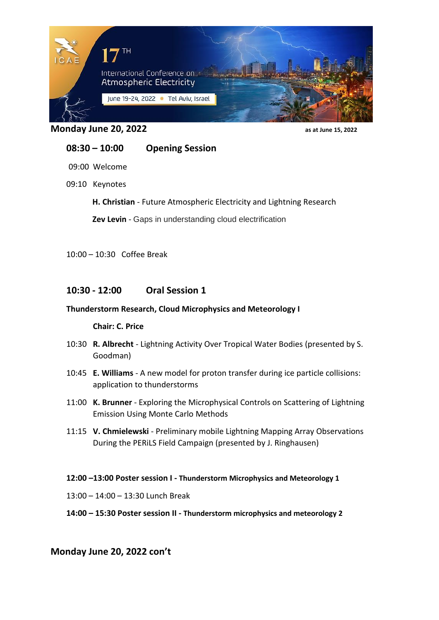

**Monday June 20, 2022 as at June 15, 2022** 

# **08:30 – 10:00 Opening Session**

09:00 Welcome

09:10 Keynotes

**H. Christian** - Future Atmospheric Electricity and Lightning Research

**Zev Levin** - Gaps in understanding cloud electrification

10:00 – 10:30 Coffee Break

## **10:30 - 12:00 Oral Session 1**

### **Thunderstorm Research, Cloud Microphysics and Meteorology I**

#### **Chair: C. Price**

- 10:30 **R. Albrecht** Lightning Activity Over Tropical Water Bodies (presented by S. Goodman)
- 10:45 **E. Williams** A new model for proton transfer during ice particle collisions: application to thunderstorms
- 11:00 **K. Brunner** Exploring the Microphysical Controls on Scattering of Lightning Emission Using Monte Carlo Methods
- 11:15 **V. Chmielewski** Preliminary mobile Lightning Mapping Array Observations During the PERiLS Field Campaign (presented by J. Ringhausen)

#### **12:00 –13:00 Poster session I - Thunderstorm Microphysics and Meteorology 1**

13:00 – 14:00 – 13:30 Lunch Break

#### **14:00 – 15:30 Poster session II - Thunderstorm microphysics and meteorology 2**

### **Monday June 20, 2022 con't**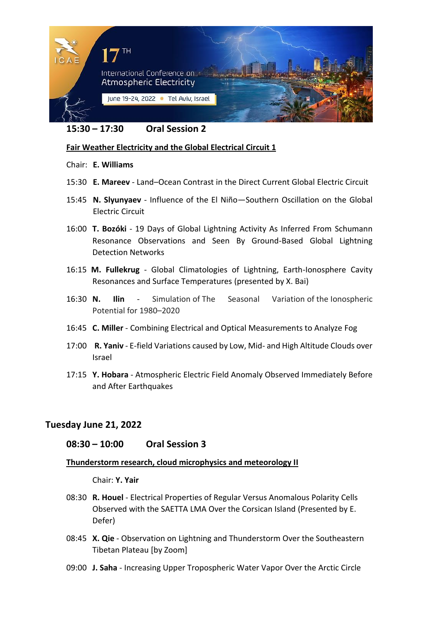

### **15:30 – 17:30 Oral Session 2**

### **Fair Weather Electricity and the Global Electrical Circuit 1**

#### Chair: **E. Williams**

- 15:30 **E. Mareev** Land–Ocean Contrast in the Direct Current Global Electric Circuit
- 15:45 **N. Slyunyaev** Influence of the El Niño—Southern Oscillation on the Global Electric Circuit
- 16:00 **T. Bozóki** 19 Days of Global Lightning Activity As Inferred From Schumann Resonance Observations and Seen By Ground-Based Global Lightning Detection Networks
- 16:15 **M. Fullekrug** Global Climatologies of Lightning, Earth-Ionosphere Cavity Resonances and Surface Temperatures (presented by X. Bai)
- 16:30 **N. Ilin** Simulation of The Seasonal Variation of the Ionospheric Potential for 1980–2020
- 16:45 **C. Miller** Combining Electrical and Optical Measurements to Analyze Fog
- 17:00 **R. Yaniv** E-field Variations caused by Low, Mid- and High Altitude Clouds over Israel
- 17:15 **Y. Hobara** Atmospheric Electric Field Anomaly Observed Immediately Before and After Earthquakes

## **Tuesday June 21, 2022**

### **08:30 – 10:00 Oral Session 3**

### **Thunderstorm research, cloud microphysics and meteorology II**

Chair: **Y. Yair**

- 08:30 **R. Houel** Electrical Properties of Regular Versus Anomalous Polarity Cells Observed with the SAETTA LMA Over the Corsican Island (Presented by E. Defer)
- 08:45 **X. Qie** Observation on Lightning and Thunderstorm Over the Southeastern Tibetan Plateau [by Zoom]
- 09:00 **J. Saha** Increasing Upper Tropospheric Water Vapor Over the Arctic Circle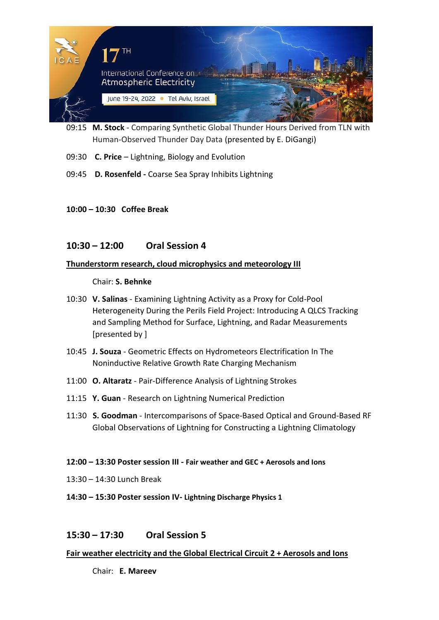

- 09:15 **M. Stock** Comparing Synthetic Global Thunder Hours Derived from TLN with Human-Observed Thunder Day Data (presented by E. DiGangi)
- 09:30 **C. Price** Lightning, Biology and Evolution
- 09:45 **D. Rosenfeld -** Coarse Sea Spray Inhibits Lightning
- **10:00 – 10:30 Coffee Break**

## **10:30 – 12:00 Oral Session 4**

### **Thunderstorm research, cloud microphysics and meteorology III**

Chair: **S. Behnke**

- 10:30 **V. Salinas** Examining Lightning Activity as a Proxy for Cold-Pool Heterogeneity During the Perils Field Project: Introducing A QLCS Tracking and Sampling Method for Surface, Lightning, and Radar Measurements [presented by ]
- 10:45 **J. Souza** Geometric Effects on Hydrometeors Electrification In The Noninductive Relative Growth Rate Charging Mechanism
- 11:00 **O. Altaratz**  Pair-Difference Analysis of Lightning Strokes
- 11:15 **Y. Guan** Research on Lightning Numerical Prediction
- 11:30 **S. Goodman** Intercomparisons of Space-Based Optical and Ground-Based RF Global Observations of Lightning for Constructing a Lightning Climatology

#### **12:00 – 13:30 Poster session III - Fair weather and GEC + Aerosols and Ions**

- 13:30 14:30 Lunch Break
- **14:30 – 15:30 Poster session IV- Lightning Discharge Physics 1**

# **15:30 – 17:30 Oral Session 5**

### **Fair weather electricity and the Global Electrical Circuit 2 + Aerosols and Ions**

Chair: **E. Mareev**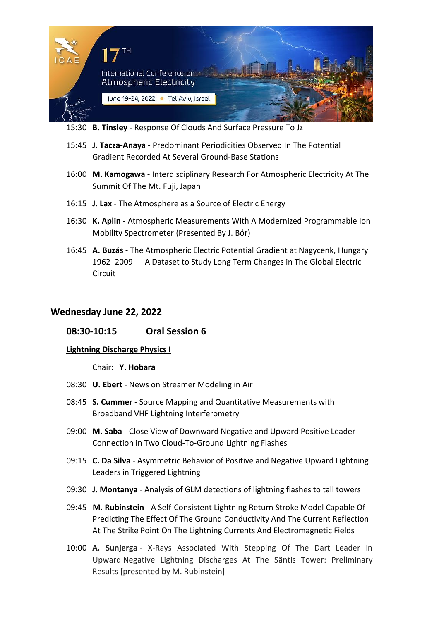

15:30 **B. Tinsley** - Response Of Clouds And Surface Pressure To Jz

- 15:45 **J. Tacza-Anaya** Predominant Periodicities Observed In The Potential Gradient Recorded At Several Ground-Base Stations
- 16:00 **M. Kamogawa** Interdisciplinary Research For Atmospheric Electricity At The Summit Of The Mt. Fuji, Japan
- 16:15 **J. Lax** The Atmosphere as a Source of Electric Energy
- 16:30 **K. Aplin** Atmospheric Measurements With A Modernized Programmable Ion Mobility Spectrometer (Presented By J. Bór)
- 16:45 **A. Buzás** The Atmospheric Electric Potential Gradient at Nagycenk, Hungary 1962–2009 — A Dataset to Study Long Term Changes in The Global Electric **Circuit**

## **Wednesday June 22, 2022**

### **08:30-10:15 Oral Session 6**

#### **Lightning Discharge Physics I**

Chair: **Y. Hobara**

- 08:30 **U. Ebert** News on Streamer Modeling in Air
- 08:45 **S. Cummer** Source Mapping and Quantitative Measurements with Broadband VHF Lightning Interferometry
- 09:00 **M. Saba** Close View of Downward Negative and Upward Positive Leader Connection in Two Cloud-To-Ground Lightning Flashes
- 09:15 **C. Da Silva** Asymmetric Behavior of Positive and Negative Upward Lightning Leaders in Triggered Lightning
- 09:30 **J. Montanya** Analysis of GLM detections of lightning flashes to tall towers
- 09:45 **M. Rubinstein** A Self-Consistent Lightning Return Stroke Model Capable Of Predicting The Effect Of The Ground Conductivity And The Current Reflection At The Strike Point On The Lightning Currents And Electromagnetic Fields
- 10:00 **A. Sunjerga** X-Rays Associated With Stepping Of The Dart Leader In Upward Negative Lightning Discharges At The Säntis Tower: Preliminary Results [presented by M. Rubinstein]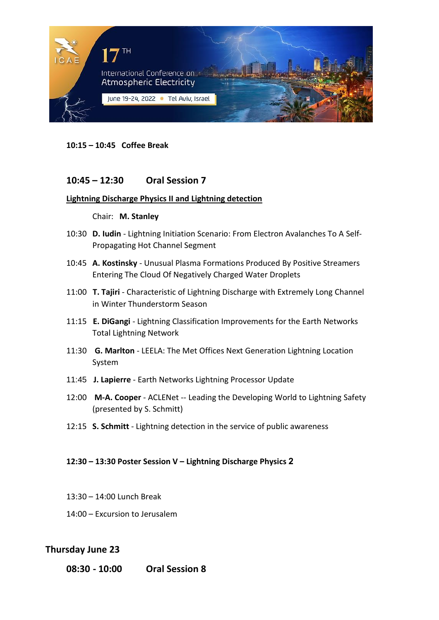

**10:15 – 10:45 Coffee Break**

## **10:45 – 12:30 Oral Session 7**

#### **Lightning Discharge Physics II and Lightning detection**

#### Chair: **M. Stanley**

- 10:30 **D. Iudin** Lightning Initiation Scenario: From Electron Avalanches To A Self-Propagating Hot Channel Segment
- 10:45 **A. Kostinsky** Unusual Plasma Formations Produced By Positive Streamers Entering The Cloud Of Negatively Charged Water Droplets
- 11:00 **T. Tajiri** Characteristic of Lightning Discharge with Extremely Long Channel in Winter Thunderstorm Season
- 11:15 **E. DiGangi** Lightning Classification Improvements for the Earth Networks Total Lightning Network
- 11:30 **G. Marlton** LEELA: The Met Offices Next Generation Lightning Location System
- 11:45 **J. Lapierre** Earth Networks Lightning Processor Update
- 12:00 **M-A. Cooper** ACLENet -- Leading the Developing World to Lightning Safety (presented by S. Schmitt)
- 12:15 **S. Schmitt** Lightning detection in the service of public awareness

#### **12:30 – 13:30 Poster Session V – Lightning Discharge Physics 2**

- 13:30 14:00 Lunch Break
- 14:00 Excursion to Jerusalem

## **Thursday June 23**

**08:30 - 10:00 Oral Session 8**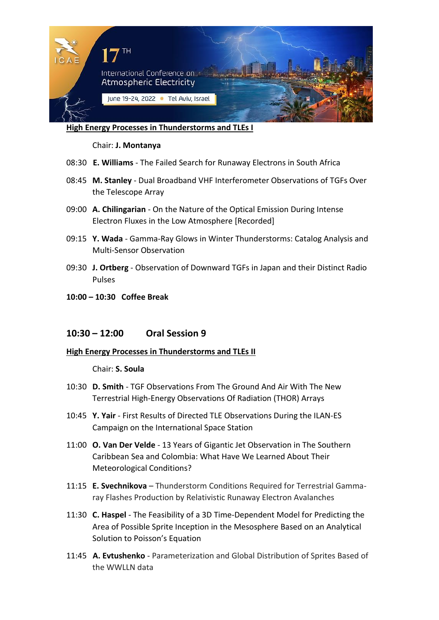

**High Energy Processes in Thunderstorms and TLEs I**

Chair: **J. Montanya**

- 08:30 **E. Williams** The Failed Search for Runaway Electrons in South Africa
- 08:45 **M. Stanley** Dual Broadband VHF Interferometer Observations of TGFs Over the Telescope Array
- 09:00 **A. Chilingarian** On the Nature of the Optical Emission During Intense Electron Fluxes in the Low Atmosphere [Recorded]
- 09:15 **Y. Wada** Gamma-Ray Glows in Winter Thunderstorms: Catalog Analysis and Multi-Sensor Observation
- 09:30 **J. Ortberg** Observation of Downward TGFs in Japan and their Distinct Radio Pulses
- **10:00 – 10:30 Coffee Break**

### **10:30 – 12:00 Oral Session 9**

#### **High Energy Processes in Thunderstorms and TLEs II**

#### Chair: **S. Soula**

- 10:30 **D. Smith** TGF Observations From The Ground And Air With The New Terrestrial High-Energy Observations Of Radiation (THOR) Arrays
- 10:45 **Y. Yair**  First Results of Directed TLE Observations During the ILAN-ES Campaign on the International Space Station
- 11:00 **O. Van Der Velde** 13 Years of Gigantic Jet Observation in The Southern Caribbean Sea and Colombia: What Have We Learned About Their Meteorological Conditions?
- 11:15 **E. Svechnikova**  Thunderstorm Conditions Required for Terrestrial Gammaray Flashes Production by Relativistic Runaway Electron Avalanches
- 11:30 **C. Haspel** The Feasibility of a 3D Time-Dependent Model for Predicting the Area of Possible Sprite Inception in the Mesosphere Based on an Analytical Solution to Poisson's Equation
- 11:45 **A. Evtushenko** Parameterization and Global Distribution of Sprites Based of the WWLLN data